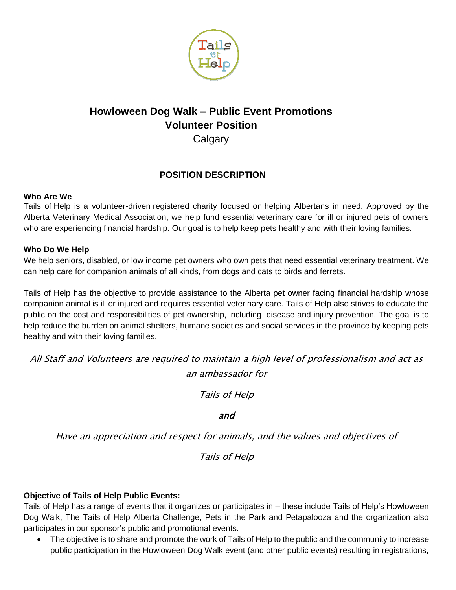

# **Howloween Dog Walk – Public Event Promotions Volunteer Position**

**Calgary** 

## **POSITION DESCRIPTION**

## **Who Are We**

Tails of Help is a volunteer-driven registered charity focused on helping Albertans in need. Approved by the Alberta Veterinary Medical Association, we help fund essential veterinary care for ill or injured pets of owners who are experiencing financial hardship. Our goal is to help keep pets healthy and with their loving families.

## **Who Do We Help**

We help seniors, disabled, or low income pet owners who own pets that need essential veterinary treatment. We can help care for companion animals of all kinds, from dogs and cats to birds and ferrets.

Tails of Help has the objective to provide assistance to the Alberta pet owner facing financial hardship whose companion animal is ill or injured and requires essential veterinary care. Tails of Help also strives to educate the public on the cost and responsibilities of pet ownership, including disease and injury prevention. The goal is to help reduce the burden on animal shelters, humane societies and social services in the province by keeping pets healthy and with their loving families.

All Staff and Volunteers are required to maintain a high level of professionalism and act as an ambassador for

Tails of Help

## and

Have an appreciation and respect for animals, and the values and objectives of

Tails of Help

## **Objective of Tails of Help Public Events:**

Tails of Help has a range of events that it organizes or participates in – these include Tails of Help's Howloween Dog Walk, The Tails of Help Alberta Challenge, Pets in the Park and Petapalooza and the organization also participates in our sponsor's public and promotional events.

• The objective is to share and promote the work of Tails of Help to the public and the community to increase public participation in the Howloween Dog Walk event (and other public events) resulting in registrations,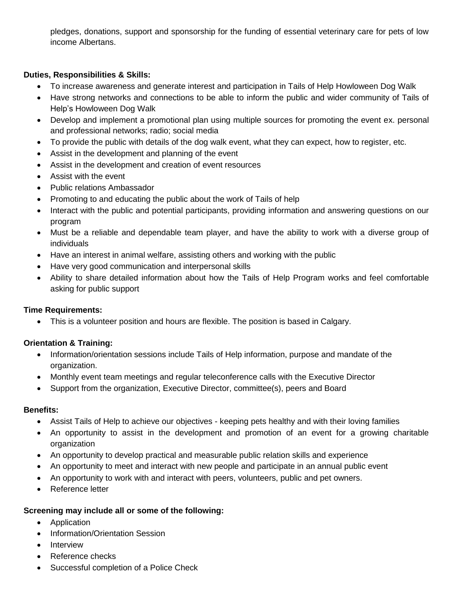pledges, donations, support and sponsorship for the funding of essential veterinary care for pets of low income Albertans.

## **Duties, Responsibilities & Skills:**

- To increase awareness and generate interest and participation in Tails of Help Howloween Dog Walk
- Have strong networks and connections to be able to inform the public and wider community of Tails of Help's Howloween Dog Walk
- Develop and implement a promotional plan using multiple sources for promoting the event ex. personal and professional networks; radio; social media
- To provide the public with details of the dog walk event, what they can expect, how to register, etc.
- Assist in the development and planning of the event
- Assist in the development and creation of event resources
- Assist with the event
- Public relations Ambassador
- Promoting to and educating the public about the work of Tails of help
- Interact with the public and potential participants, providing information and answering questions on our program
- Must be a reliable and dependable team player, and have the ability to work with a diverse group of individuals
- Have an interest in animal welfare, assisting others and working with the public
- Have very good communication and interpersonal skills
- Ability to share detailed information about how the Tails of Help Program works and feel comfortable asking for public support

#### **Time Requirements:**

This is a volunteer position and hours are flexible. The position is based in Calgary.

## **Orientation & Training:**

- Information/orientation sessions include Tails of Help information, purpose and mandate of the organization.
- Monthly event team meetings and regular teleconference calls with the Executive Director
- Support from the organization, Executive Director, committee(s), peers and Board

#### **Benefits:**

- Assist Tails of Help to achieve our objectives keeping pets healthy and with their loving families
- An opportunity to assist in the development and promotion of an event for a growing charitable organization
- An opportunity to develop practical and measurable public relation skills and experience
- An opportunity to meet and interact with new people and participate in an annual public event
- An opportunity to work with and interact with peers, volunteers, public and pet owners.
- Reference letter

## **Screening may include all or some of the following:**

- Application
- Information/Orientation Session
- Interview
- Reference checks
- Successful completion of a Police Check